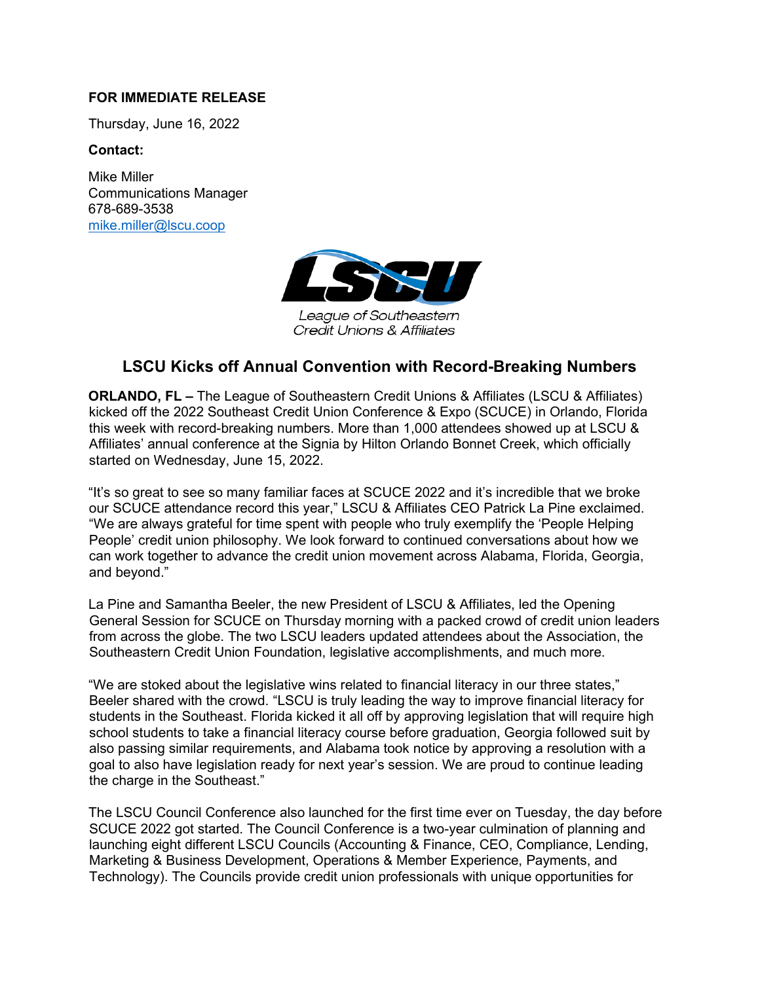## **FOR IMMEDIATE RELEASE**

Thursday, June 16, 2022

## **Contact:**

Mike Miller Communications Manager 678-689-3538 [mike.miller@lscu.coop](mailto:mike.miller@lscu.coop)



League of Southeastern Credit Unions & Affiliates

## **LSCU Kicks off Annual Convention with Record-Breaking Numbers**

**ORLANDO, FL –** The League of Southeastern Credit Unions & Affiliates (LSCU & Affiliates) kicked off the 2022 Southeast Credit Union Conference & Expo (SCUCE) in Orlando, Florida this week with record-breaking numbers. More than 1,000 attendees showed up at LSCU & Affiliates' annual conference at the Signia by Hilton Orlando Bonnet Creek, which officially started on Wednesday, June 15, 2022.

"It's so great to see so many familiar faces at SCUCE 2022 and it's incredible that we broke our SCUCE attendance record this year," LSCU & Affiliates CEO Patrick La Pine exclaimed. "We are always grateful for time spent with people who truly exemplify the 'People Helping People' credit union philosophy. We look forward to continued conversations about how we can work together to advance the credit union movement across Alabama, Florida, Georgia, and beyond."

La Pine and Samantha Beeler, the new President of LSCU & Affiliates, led the Opening General Session for SCUCE on Thursday morning with a packed crowd of credit union leaders from across the globe. The two LSCU leaders updated attendees about the Association, the Southeastern Credit Union Foundation, legislative accomplishments, and much more.

"We are stoked about the legislative wins related to financial literacy in our three states," Beeler shared with the crowd. "LSCU is truly leading the way to improve financial literacy for students in the Southeast. Florida kicked it all off by approving legislation that will require high school students to take a financial literacy course before graduation, Georgia followed suit by also passing similar requirements, and Alabama took notice by approving a resolution with a goal to also have legislation ready for next year's session. We are proud to continue leading the charge in the Southeast."

The LSCU Council Conference also launched for the first time ever on Tuesday, the day before SCUCE 2022 got started. The Council Conference is a two-year culmination of planning and launching eight different LSCU Councils (Accounting & Finance, CEO, Compliance, Lending, Marketing & Business Development, Operations & Member Experience, Payments, and Technology). The Councils provide credit union professionals with unique opportunities for